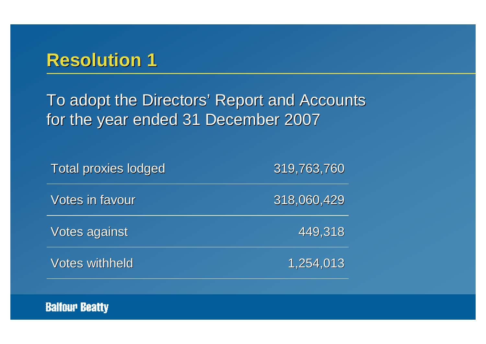To adopt the Directors' Report and Accounts for the year ended 31 December 2007

| <b>Total proxies lodged</b> | 319,763,760 |
|-----------------------------|-------------|
| <b>Votes in favour</b>      | 318,060,429 |
| Votes against               | 449,318     |
| <b>Votes withheld</b>       | 1,254,013   |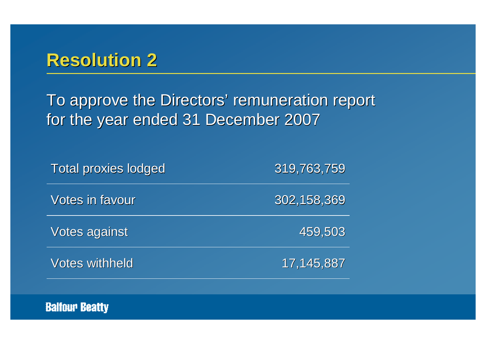To approve the Directors' remuneration report for the year ended 31 December 2007

| <b>Total proxies lodged</b> | 319,763,759   |
|-----------------------------|---------------|
| Votes in favour             | 302, 158, 369 |
| Votes against               | 459,503       |
| <b>Votes withheld</b>       | 17,145,887    |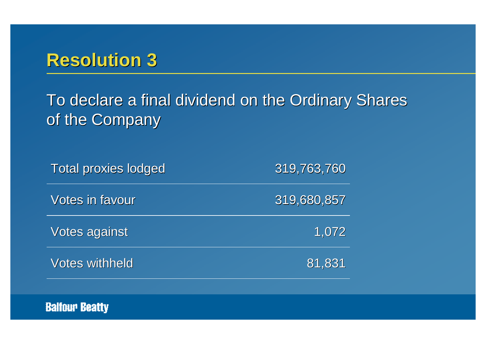To declare a final dividend on the Ordinary Shares of the Company

| <b>Total proxies lodged</b> | 319,763,760 |
|-----------------------------|-------------|
| Votes in favour             | 319,680,857 |
| <b>Votes against</b>        | 1,072       |
| <b>Votes withheld</b>       | 81,831      |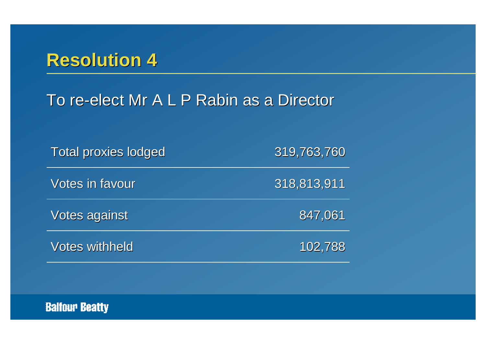#### To re-elect Mr A L P Rabin as a Director

| <b>Total proxies lodged</b> | 319,763,760 |
|-----------------------------|-------------|
| Votes in favour             | 318,813,911 |
| <b>Votes against</b>        | 847,061     |
| <b>Votes withheld</b>       | 102,788     |

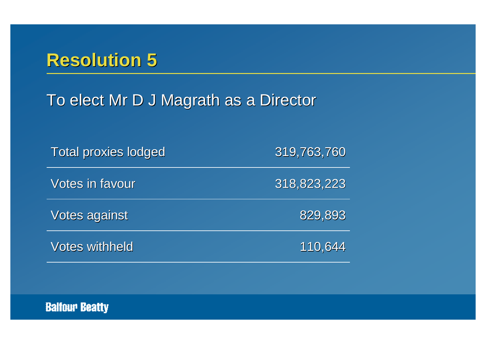## To elect Mr D J Magrath as a Director

| <b>Total proxies lodged</b> | 319,763,760 |
|-----------------------------|-------------|
| <b>Votes in favour</b>      | 318,823,223 |
| Votes against               | 829,893     |
| <b>Votes withheld</b>       | 110,644     |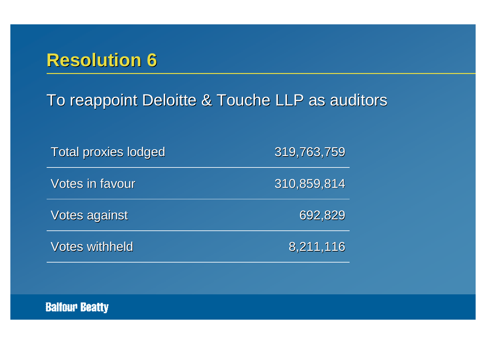#### To reappoint Deloitte & Touche LLP as auditors

| <b>Total proxies lodged</b> | 319,763,759 |
|-----------------------------|-------------|
| <b>Votes in favour</b>      | 310,859,814 |
| Votes against               | 692,829     |
| <b>Votes withheld</b>       | 8,211,116   |

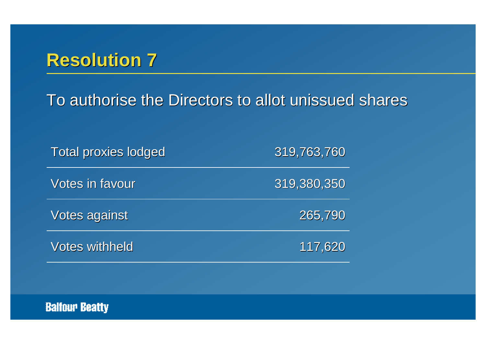To authorise the Directors to allot unissued shares

| <b>Total proxies lodged</b> | 319,763,760 |
|-----------------------------|-------------|
| <b>Votes in favour</b>      | 319,380,350 |
| <b>Votes against</b>        | 265,790     |
| <b>Votes withheld</b>       | 117,620     |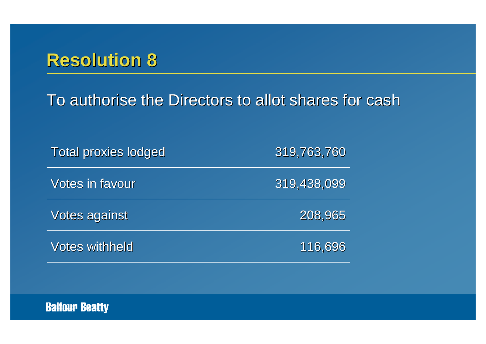To authorise the Directors to allot shares for cash

| <b>Total proxies lodged</b> | 319,763,760 |
|-----------------------------|-------------|
| <b>Votes in favour</b>      | 319,438,099 |
| Votes against               | 208,965     |
| <b>Votes withheld</b>       | 116,696     |

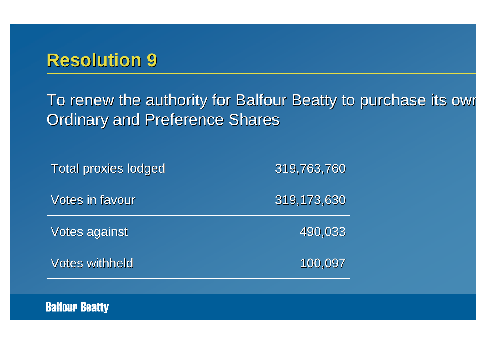To renew the authority for Balfour Beatty to purchase its own **Ordinary and Preference Shares** 

| <b>Total proxies lodged</b> | 319,763,760 |
|-----------------------------|-------------|
| <b>Votes in favour</b>      | 319,173,630 |
| <b>Votes against</b>        | 490,033     |
| <b>Votes withheld</b>       | 100,097     |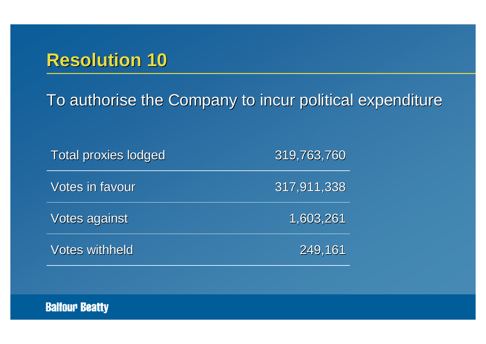To authorise the Company to incur political expenditure

| <b>Total proxies lodged</b> | 319,763,760 |
|-----------------------------|-------------|
| <b>Votes in favour</b>      | 317,911,338 |
| <b>Votes against</b>        | 1,603,261   |
| <b>Votes withheld</b>       | 249,161     |